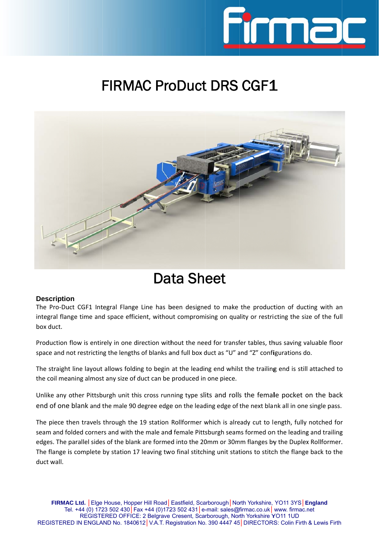

## FIRMAC ProDuct DRS CGF1



## Data Sheet

## Description

The Pro-Duct CGF1 Integral Flange Line has been designed to make the production of ducting with an integral flange time and space efficient, without compromising on quality or restricting the size of the full box duct.

Production flow is entirely in one direction without the need for transfer tables, thus saving valuable floor space and not restricting the lengths of blanks and full box duct as "U" and "Z" configurations do.

The straight line layout allows folding to begin at the leading end whilst the trailing end is still attached to the coil meaning almost any size of duct can be produced in one piece.

Unlike any other Pittsburgh unit this cross running type slits and rolls the female pocket on the back end of one blank and the male 90 degree edge on the leading edge of the next blank all in one single pass.

The piece then travels through the 19 station Rollformer which is already cut to length, fully notched for seam and folded corners and with the male and female Pittsburgh seams formed on the leading and trailing edges. The parallel sides of the blank are formed into the 20mm or 30mm flanges by the Duplex Rollformer. The flange is complete by station 17 leaving two final stitching unit stations to stitch the flange back to the duct wall. ll<br>or<br>.co<br>e.<br>e.<br>e.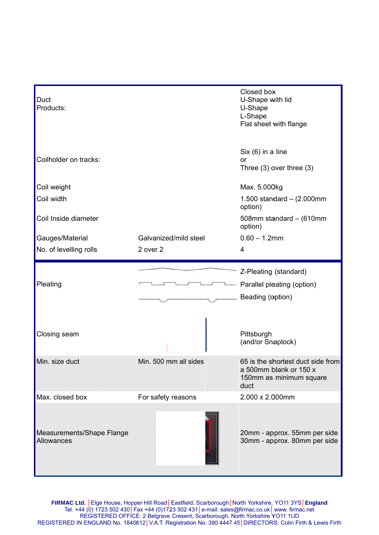| Duct<br>Products:                              |                       | Closed box<br>U-Shape with lid<br>U-Shape<br>L-Shape<br>Flat sheet with flange                 |
|------------------------------------------------|-----------------------|------------------------------------------------------------------------------------------------|
| Coilholder on tracks:                          |                       | $Six (6)$ in a line<br>or<br>Three $(3)$ over three $(3)$                                      |
| Coil weight                                    |                       | Max. 5.000kg                                                                                   |
| Coil width                                     |                       | 1.500 standard $-$ (2.000mm<br>option)                                                         |
| Coil Inside diameter                           |                       | 508mm standard - (610mm<br>option)                                                             |
| Gauges/Material                                | Galvanized/mild steel | $0.60 - 1.2$ mm                                                                                |
| No. of levelling rolls                         | 2 over 2              | 4                                                                                              |
| Pleating                                       |                       | Z-Pleating (standard)<br>Parallel pleating (option)<br>Beading (option)                        |
| Closing seam                                   |                       | Pittsburgh<br>(and/or Snaplock)                                                                |
| Min. size duct                                 | Min. 500 mm all sides | 65 is the shortest duct side from<br>a 500mm blank or 150 x<br>150mm as minimum square<br>duct |
| Max. closed box                                | For safety reasons    | 2.000 x 2.000mm                                                                                |
| Measurements/Shape Flange<br><b>Allowances</b> |                       | 20mm - approx. 55mm per side<br>30mm - approx. 80mm per side                                   |

**FIRMA** Te REGISTERE **AC Ltd.** │Elge el. +44 (0) 172 REGISTE ED IN ENGLA House, Hopp 23 502 430│F ERED OFFICE AND No. 18406 per Hill Road│ ax +44 (0)172 E: 2 Belgrave 612│V.A.T. Re Eastfield, Sca 23 502 431│e-Cresent, Sca egistration No arborough│No -mail: sales@ rborough, Nor . 390 4447 45 rth Yorkshire, firmac.co.uk│ rth Yorkshire Y 5│DIRECTORS YO11 3YS│**E** www. firmac.n YO11 1UD RS: Colin Firth **England** net & Lewis Firth